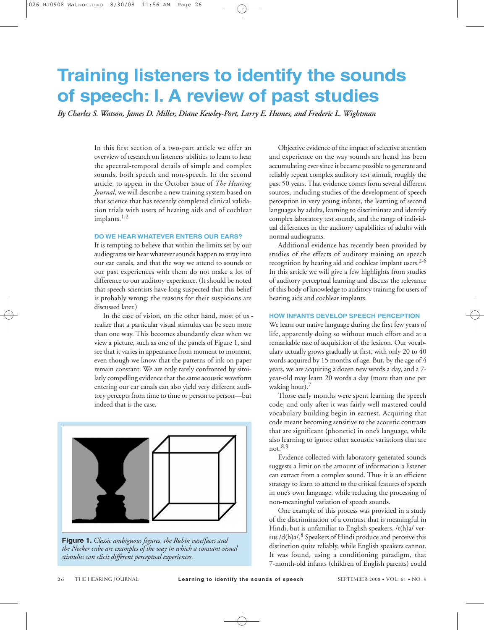# **Training listeners to identify the sounds of speech: I. A review of past studies**

*By Charles S. Watson, James D. Miller, Diane Kewley-Port, Larry E. Humes, and Frederic L. Wightman*

In this first section of a two-part article we offer an overview of research on listeners' abilities to learn to hear the spectral-temporal details of simple and complex sounds, both speech and non-speech. In the second article, to appear in the October issue of *The Hearing Journal*, we will describe a new training system based on that science that has recently completed clinical validation trials with users of hearing aids and of cochlear implants.<sup>1,2</sup>

#### **DO WE HEAR WHATEVER ENTERS OUR EARS?**

It is tempting to believe that within the limits set by our audiograms we hear whatever sounds happen to stray into our ear canals, and that the way we attend to sounds or our past experiences with them do not make a lot of difference to our auditory experience. (It should be noted that speech scientists have long suspected that this belief is probably wrong; the reasons for their suspicions are discussed later.)

In the case of vision, on the other hand, most of us realize that a particular visual stimulus can be seen more than one way. This becomes abundantly clear when we view a picture, such as one of the panels of Figure 1, and see that it varies in appearance from moment to moment, even though we know that the patterns of ink on paper remain constant. We are only rarely confronted by similarly compelling evidence that the same acoustic waveform entering our ear canals can also yield very different auditory percepts from time to time or person to person—but indeed that is the case.



**Figure 1.** *Classic ambiguous figures, the Rubin vase/faces and the Necker cube are examples of the way in which a constant visual stimulus can elicit different perceptual experiences.*

Objective evidence of the impact of selective attention and experience on the way sounds are heard has been accumulating ever since it became possible to generate and reliably repeat complex auditory test stimuli, roughly the past 50 years. That evidence comes from several different sources, including studies of the development of speech perception in very young infants, the learning of second languages by adults, learning to discriminate and identify complex laboratory test sounds, and the range of individual differences in the auditory capabilities of adults with normal audiograms.

Additional evidence has recently been provided by studies of the effects of auditory training on speech recognition by hearing aid and cochlear implant users. $2-6$ In this article we will give a few highlights from studies of auditory perceptual learning and discuss the relevance of this body of knowledge to auditory training for users of hearing aids and cochlear implants.

#### **HOW INFANTS DEVELOP SPEECH PERCEPTION**

We learn our native language during the first few years of life, apparently doing so without much effort and at a remarkable rate of acquisition of the lexicon. Our vocabulary actually grows gradually at first, with only 20 to 40 words acquired by 15 months of age. But, by the age of 4 years, we are acquiring a dozen new words a day, and a 7 year-old may learn 20 words a day (more than one per waking hour). $7$ 

Those early months were spent learning the speech code, and only after it was fairly well mastered could vocabulary building begin in earnest. Acquiring that code meant becoming sensitive to the acoustic contrasts that are significant (phonetic) in one's language, while also learning to ignore other acoustic variations that are not  $8,9$ 

Evidence collected with laboratory-generated sounds suggests a limit on the amount of information a listener can extract from a complex sound. Thus it is an efficient strategy to learn to attend to the critical features of speech in one's own language, while reducing the processing of non-meaningful variation of speech sounds.

One example of this process was provided in a study of the discrimination of a contrast that is meaningful in Hindi, but is unfamiliar to English speakers, /t(h)a/ versus  $\frac{d(h)a}{s}$  Speakers of Hindi produce and perceive this distinction quite reliably, while English speakers cannot. It was found, using a conditioning paradigm, that 7-month-old infants (children of English parents) could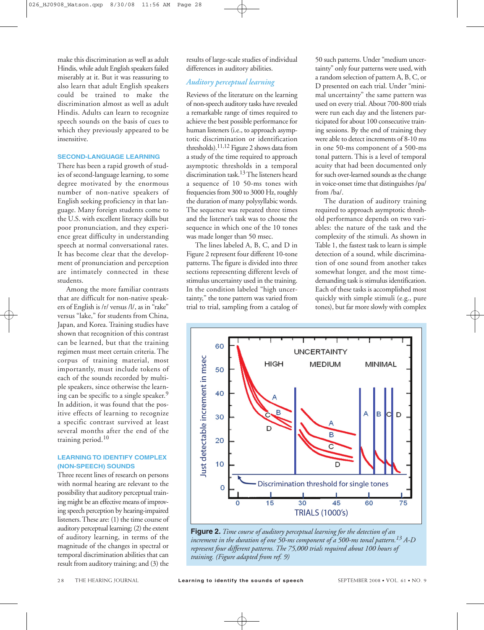make this discrimination as well as adult Hindis, while adult English speakers failed miserably at it. But it was reassuring to also learn that adult English speakers could be trained to make the discrimination almost as well as adult Hindis. Adults can learn to recognize speech sounds on the basis of cues to which they previously appeared to be insensitive.

### **SECOND-LANGUAGE LEARNING**

There has been a rapid growth of studies of second-language learning, to some degree motivated by the enormous number of non-native speakers of English seeking proficiency in that language. Many foreign students come to the U.S. with excellent literacy skills but poor pronunciation, and they experience great difficulty in understanding speech at normal conversational rates. It has become clear that the development of pronunciation and perception are intimately connected in these students.

Among the more familiar contrasts that are difficult for non-native speakers of English is /r/ versus /l/, as in "rake" versus "lake," for students from China, Japan, and Korea. Training studies have shown that recognition of this contrast can be learned, but that the training regimen must meet certain criteria. The corpus of training material, most importantly, must include tokens of each of the sounds recorded by multiple speakers, since otherwise the learning can be specific to a single speaker.<sup>9</sup> In addition, it was found that the positive effects of learning to recognize a specific contrast survived at least several months after the end of the training period.<sup>10</sup>

## **LEARNING TO IDENTIFY COMPLEX (NON-SPEECH) SOUNDS**

Three recent lines of research on persons with normal hearing are relevant to the possibility that auditory perceptual training might be an effective means of improving speech perception by hearing-impaired listeners. These are: (1) the time course of auditory perceptual learning; (2) the extent of auditory learning, in terms of the magnitude of the changes in spectral or temporal discrimination abilities that can result from auditory training; and (3) the

results of large-scale studies of individual differences in auditory abilities.

## *Auditory perceptual learning*

Reviews of the literature on the learning of non-speech auditory tasks have revealed a remarkable range of times required to achieve the best possible performance for human listeners (i.e., to approach asymptotic discrimination or identification thresholds).11,12 Figure 2 shows data from a study of the time required to approach asymptotic thresholds in a temporal discrimination task.<sup>13</sup>The listeners heard a sequence of 10 50-ms tones with frequencies from 300 to 3000 Hz, roughly the duration of many polysyllabic words. The sequence was repeated three times and the listener's task was to choose the sequence in which one of the 10 tones was made longer than 50 msec.

The lines labeled A, B, C, and D in Figure 2 represent four different 10-tone patterns. The figure is divided into three sections representing different levels of stimulus uncertainty used in the training. In the condition labeled "high uncertainty," the tone pattern was varied from trial to trial, sampling from a catalog of 50 such patterns. Under "medium uncertainty" only four patterns were used, with a random selection of pattern A, B, C, or D presented on each trial. Under "minimal uncertainty" the same pattern was used on every trial. About 700-800 trials were run each day and the listeners participated for about 100 consecutive training sessions. By the end of training they were able to detect increments of 8-10 ms in one 50-ms component of a 500-ms tonal pattern. This is a level of temporal acuity that had been documented only for such over-learned sounds as the change in voice-onset time that distinguishes /pa/ from /ba/.

The duration of auditory training required to approach asymptotic threshold performance depends on two variables: the nature of the task and the complexity of the stimuli. As shown in Table 1, the fastest task to learn is simple detection of a sound, while discrimination of one sound from another takes somewhat longer, and the most timedemanding task is stimulus identification. Each of these tasks is accomplished most quickly with simple stimuli (e.g., pure tones), but far more slowly with complex



**Figure 2.** *Time course of auditory perceptual learning for the detection of an increment in the duration of one 50-ms component of a 500-ms tonal pattern.13 A-D represent four different patterns. The 75,000 trials required about 100 hours of training. (Figure adapted from ref. 9)*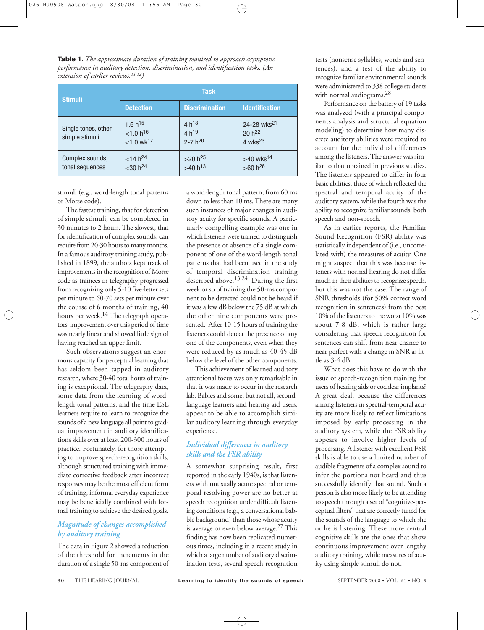**Table 1.** *The approximate duration of training required to approach asymptotic performance in auditory detection, discrimination, and identification tasks. (An extension of earlier reviews.11,12)*

| <b>Stimuli</b>                        | <b>Task</b>                                                          |                                         |                                                               |
|---------------------------------------|----------------------------------------------------------------------|-----------------------------------------|---------------------------------------------------------------|
|                                       | <b>Detection</b>                                                     | <b>Discrimination</b>                   | <b>Identification</b>                                         |
| Single tones, other<br>simple stimuli | 1.6 h <sup>15</sup><br>$<$ 1.0 h <sup>16</sup><br>$< 1.0$ wk $^{17}$ | 4 $h^{18}$<br>$4 h^{19}$<br>$2 - 7 h20$ | 24-28 wks <sup>21</sup><br>$20 h^{22}$<br>4 wks <sup>23</sup> |
| Complex sounds,<br>tonal sequences    | $<$ 14 h <sup>24</sup><br>$<$ 30 h <sup>24</sup>                     | $>$ 20 h <sup>25</sup><br>$>40 h^{13}$  | $>40$ wks <sup>14</sup><br>$>60 h^{26}$                       |

stimuli (e.g., word-length tonal patterns or Morse code).

The fastest training, that for detection of simple stimuli, can be completed in 30 minutes to 2 hours. The slowest, that for identification of complex sounds, can require from 20-30 hours to many months. In a famous auditory training study, published in 1899, the authors kept track of improvements in the recognition of Morse code as trainees in telegraphy progressed from recognizing only 5-10 five-letter sets per minute to 60-70 sets per minute over the course of 6 months of training, 40 hours per week.<sup>14</sup> The telegraph operators' improvement over this period of time was nearly linear and showed little sign of having reached an upper limit.

Such observations suggest an enormous capacity for perceptual learning that has seldom been tapped in auditory research, where 30-40 total hours of training is exceptional. The telegraphy data, some data from the learning of wordlength tonal patterns, and the time ESL learners require to learn to recognize the sounds of a new language all point to gradual improvement in auditory identifications skills over at least 200-300 hours of practice. Fortunately, for those attempting to improve speech-recognition skills, although structured training with immediate corrective feedback after incorrect responses may be the most efficient form of training, informal everyday experience may be beneficially combined with formal training to achieve the desired goals.

# *Magnitude of changes accomplished by auditory training*

The data in Figure 2 showed a reduction of the threshold for increments in the duration of a single 50-ms component of a word-length tonal pattern, from 60 ms down to less than 10 ms. There are many such instances of major changes in auditory acuity for specific sounds. A particularly compelling example was one in which listeners were trained to distinguish the presence or absence of a single component of one of the word-length tonal patterns that had been used in the study of temporal discrimination training described above.13,24 During the first week or so of training the 50-ms component to be detected could not be heard if it was a few dB below the 75 dB at which the other nine components were presented. After 10-15 hours of training the listeners could detect the presence of any one of the components, even when they were reduced by as much as 40-45 dB below the level of the other components.

This achievement of learned auditory attentional focus was only remarkable in that it was made to occur in the research lab. Babies and some, but not all, secondlanguage learners and hearing aid users, appear to be able to accomplish similar auditory learning through everyday experience.

# *Individual differences in auditory skills and the FSR ability*

A somewhat surprising result, first reported in the early 1940s, is that listeners with unusually acute spectral or temporal resolving power are no better at speech recognition under difficult listening conditions (e.g., a conversational babble background) than those whose acuity is average or even below average.<sup>27</sup> This finding has now been replicated numerous times, including in a recent study in which a large number of auditory discrimination tests, several speech-recognition

tests (nonsense syllables, words and sentences), and a test of the ability to recognize familiar environmental sounds were administered to 338 college students with normal audiograms.28

Performance on the battery of 19 tasks was analyzed (with a principal components analysis and structural equation modeling) to determine how many discrete auditory abilities were required to account for the individual differences among the listeners. The answer was similar to that obtained in previous studies. The listeners appeared to differ in four basic abilities, three of which reflected the spectral and temporal acuity of the auditory system, while the fourth was the ability to recognize familiar sounds, both speech and non-speech.

As in earlier reports, the Familiar Sound Recognition (FSR) ability was statistically independent of (i.e., uncorrelated with) the measures of acuity. One might suspect that this was because listeners with normal hearing do not differ much in their abilities to recognize speech, but this was not the case. The range of SNR thresholds (for 50% correct word recognition in sentences) from the best 10% of the listeners to the worst 10% was about 7-8 dB, which is rather large considering that speech recognition for sentences can shift from near chance to near perfect with a change in SNR as little as 3-4 dB.

What does this have to do with the issue of speech-recognition training for users of hearing aids or cochlear implants? A great deal, because the differences among listeners in spectral-temporal acuity are more likely to reflect limitations imposed by early processing in the auditory system, while the FSR ability appears to involve higher levels of processing. A listener with excellent FSR skills is able to use a limited number of audible fragments of a complex sound to infer the portions not heard and thus successfully identify that sound. Such a person is also more likely to be attending to speech through a set of "cognitive-perceptual filters" that are correctly tuned for the sounds of the language to which she or he is listening. These more central cognitive skills are the ones that show continuous improvement over lengthy auditory training, while measures of acuity using simple stimuli do not.